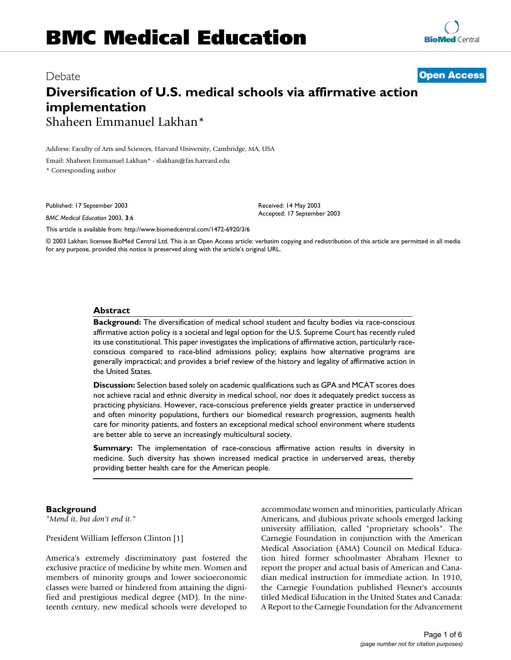# Debate **[Open Access](http://www.biomedcentral.com/info/about/charter/) Diversification of U.S. medical schools via affirmative action implementation** Shaheen Emmanuel Lakhan\*

Address: Faculty of Arts and Sciences, Harvard University, Cambridge, MA, USA

Email: Shaheen Emmanuel Lakhan\* - slakhan@fas.harvard.edu

[This article is available from: http://www.biomedcentral.com/1472-6920/3/6](http://www.biomedcentral.com/1472-6920/3/6)

\* Corresponding author

Published: 17 September 2003

*BMC Medical Education* 2003, **3**:6

Accepted: 17 September 2003

© 2003 Lakhan; licensee BioMed Central Ltd. This is an Open Access article: verbatim copying and redistribution of this article are permitted in all media for any purpose, provided this notice is preserved along with the article's original URL.

Received: 14 May 2003

## **Abstract**

**Background:** The diversification of medical school student and faculty bodies via race-conscious affirmative action policy is a societal and legal option for the U.S. Supreme Court has recently ruled its use constitutional. This paper investigates the implications of affirmative action, particularly raceconscious compared to race-blind admissions policy; explains how alternative programs are generally impractical; and provides a brief review of the history and legality of affirmative action in the United States.

**Discussion:** Selection based solely on academic qualifications such as GPA and MCAT scores does not achieve racial and ethnic diversity in medical school, nor does it adequately predict success as practicing physicians. However, race-conscious preference yields greater practice in underserved and often minority populations, furthers our biomedical research progression, augments health care for minority patients, and fosters an exceptional medical school environment where students are better able to serve an increasingly multicultural society.

**Summary:** The implementation of race-conscious affirmative action results in diversity in medicine. Such diversity has shown increased medical practice in underserved areas, thereby providing better health care for the American people.

#### **Background**

*"Mend it, but don't end it."*

President William Jefferson Clinton [1]

America's extremely discriminatory past fostered the exclusive practice of medicine by white men. Women and members of minority groups and lower socioeconomic classes were barred or hindered from attaining the dignified and prestigious medical degree (MD). In the nineteenth century, new medical schools were developed to accommodate women and minorities, particularly African Americans, and dubious private schools emerged lacking university affiliation, called "proprietary schools". The Carnegie Foundation in conjunction with the American Medical Association (AMA) Council on Medical Education hired former schoolmaster Abraham Flexner to report the proper and actual basis of American and Canadian medical instruction for immediate action. In 1910, the Carnegie Foundation published Flexner's accounts titled Medical Education in the United States and Canada: A Report to the Carnegie Foundation for the Advancement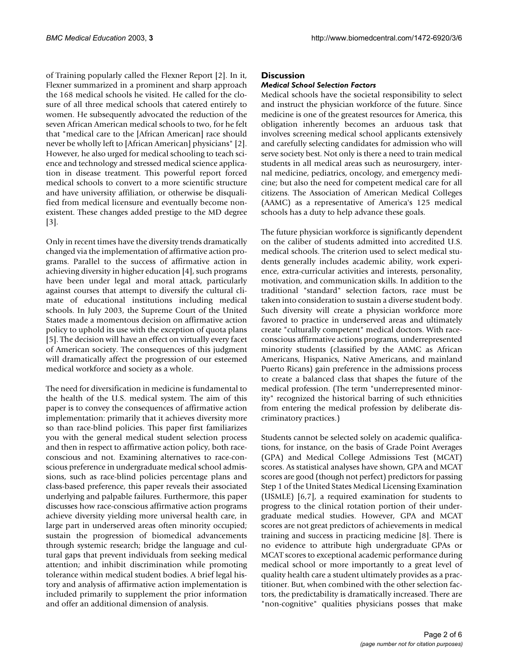of Training popularly called the Flexner Report [2]. In it, Flexner summarized in a prominent and sharp approach the 168 medical schools he visited. He called for the closure of all three medical schools that catered entirely to women. He subsequently advocated the reduction of the seven African American medical schools to two, for he felt that "medical care to the [African American] race should never be wholly left to [African American] physicians" [2]. However, he also urged for medical schooling to teach science and technology and stressed medical science application in disease treatment. This powerful report forced medical schools to convert to a more scientific structure and have university affiliation, or otherwise be disqualified from medical licensure and eventually become nonexistent. These changes added prestige to the MD degree  $|3|$ .

Only in recent times have the diversity trends dramatically changed via the implementation of affirmative action programs. Parallel to the success of affirmative action in achieving diversity in higher education [4], such programs have been under legal and moral attack, particularly against courses that attempt to diversify the cultural climate of educational institutions including medical schools. In July 2003, the Supreme Court of the United States made a momentous decision on affirmative action policy to uphold its use with the exception of quota plans [5]. The decision will have an effect on virtually every facet of American society. The consequences of this judgment will dramatically affect the progression of our esteemed medical workforce and society as a whole.

The need for diversification in medicine is fundamental to the health of the U.S. medical system. The aim of this paper is to convey the consequences of affirmative action implementation: primarily that it achieves diversity more so than race-blind policies. This paper first familiarizes you with the general medical student selection process and then in respect to affirmative action policy, both raceconscious and not. Examining alternatives to race-conscious preference in undergraduate medical school admissions, such as race-blind policies percentage plans and class-based preference, this paper reveals their associated underlying and palpable failures. Furthermore, this paper discusses how race-conscious affirmative action programs achieve diversity yielding more universal health care, in large part in underserved areas often minority occupied; sustain the progression of biomedical advancements through systemic research; bridge the language and cultural gaps that prevent individuals from seeking medical attention; and inhibit discrimination while promoting tolerance within medical student bodies. A brief legal history and analysis of affirmative action implementation is included primarily to supplement the prior information and offer an additional dimension of analysis.

# **Discussion**

# *Medical School Selection Factors*

Medical schools have the societal responsibility to select and instruct the physician workforce of the future. Since medicine is one of the greatest resources for America, this obligation inherently becomes an arduous task that involves screening medical school applicants extensively and carefully selecting candidates for admission who will serve society best. Not only is there a need to train medical students in all medical areas such as neurosurgery, internal medicine, pediatrics, oncology, and emergency medicine; but also the need for competent medical care for all citizens. The Association of American Medical Colleges (AAMC) as a representative of America's 125 medical schools has a duty to help advance these goals.

The future physician workforce is significantly dependent on the caliber of students admitted into accredited U.S. medical schools. The criterion used to select medical students generally includes academic ability, work experience, extra-curricular activities and interests, personality, motivation, and communication skills. In addition to the traditional "standard" selection factors, race must be taken into consideration to sustain a diverse student body. Such diversity will create a physician workforce more favored to practice in underserved areas and ultimately create "culturally competent" medical doctors. With raceconscious affirmative actions programs, underrepresented minority students (classified by the AAMC as African Americans, Hispanics, Native Americans, and mainland Puerto Ricans) gain preference in the admissions process to create a balanced class that shapes the future of the medical profession. (The term "underrepresented minority" recognized the historical barring of such ethnicities from entering the medical profession by deliberate discriminatory practices.)

Students cannot be selected solely on academic qualifications, for instance, on the basis of Grade Point Averages (GPA) and Medical College Admissions Test (MCAT) scores. As statistical analyses have shown, GPA and MCAT scores are good (though not perfect) predictors for passing Step 1 of the United States Medical Licensing Examination (USMLE) [6,7], a required examination for students to progress to the clinical rotation portion of their undergraduate medical studies. However, GPA and MCAT scores are not great predictors of achievements in medical training and success in practicing medicine [8]. There is no evidence to attribute high undergraduate GPAs or MCAT scores to exceptional academic performance during medical school or more importantly to a great level of quality health care a student ultimately provides as a practitioner. But, when combined with the other selection factors, the predictability is dramatically increased. There are "non-cognitive" qualities physicians posses that make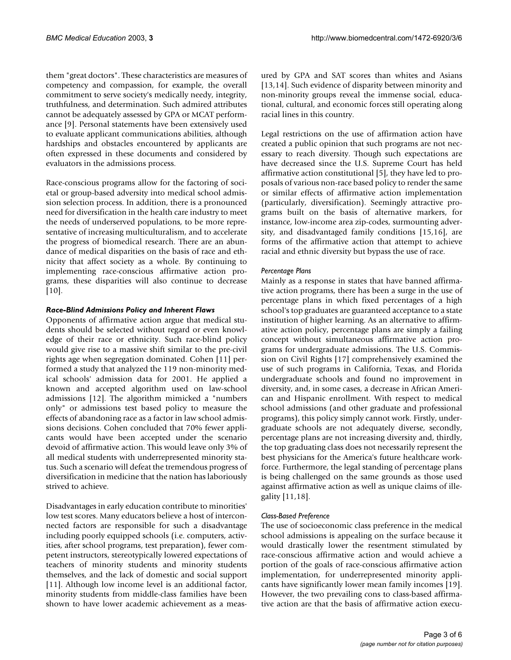them "great doctors". These characteristics are measures of competency and compassion, for example, the overall commitment to serve society's medically needy, integrity, truthfulness, and determination. Such admired attributes cannot be adequately assessed by GPA or MCAT performance [9]. Personal statements have been extensively used to evaluate applicant communications abilities, although hardships and obstacles encountered by applicants are often expressed in these documents and considered by evaluators in the admissions process.

Race-conscious programs allow for the factoring of societal or group-based adversity into medical school admission selection process. In addition, there is a pronounced need for diversification in the health care industry to meet the needs of underserved populations, to be more representative of increasing multiculturalism, and to accelerate the progress of biomedical research. There are an abundance of medical disparities on the basis of race and ethnicity that affect society as a whole. By continuing to implementing race-conscious affirmative action programs, these disparities will also continue to decrease [10].

## *Race-Blind Admissions Policy and Inherent Flaws*

Opponents of affirmative action argue that medical students should be selected without regard or even knowledge of their race or ethnicity. Such race-blind policy would give rise to a massive shift similar to the pre-civil rights age when segregation dominated. Cohen [11] performed a study that analyzed the 119 non-minority medical schools' admission data for 2001. He applied a known and accepted algorithm used on law-school admissions [12]. The algorithm mimicked a "numbers only" or admissions test based policy to measure the effects of abandoning race as a factor in law school admissions decisions. Cohen concluded that 70% fewer applicants would have been accepted under the scenario devoid of affirmative action. This would leave only 3% of all medical students with underrepresented minority status. Such a scenario will defeat the tremendous progress of diversification in medicine that the nation has laboriously strived to achieve.

Disadvantages in early education contribute to minorities' low test scores. Many educators believe a host of interconnected factors are responsible for such a disadvantage including poorly equipped schools (i.e. computers, activities, after school programs, test preparation), fewer competent instructors, stereotypically lowered expectations of teachers of minority students and minority students themselves, and the lack of domestic and social support [11]. Although low income level is an additional factor, minority students from middle-class families have been shown to have lower academic achievement as a measured by GPA and SAT scores than whites and Asians [13,14]. Such evidence of disparity between minority and non-minority groups reveal the immense social, educational, cultural, and economic forces still operating along racial lines in this country.

Legal restrictions on the use of affirmation action have created a public opinion that such programs are not necessary to reach diversity. Though such expectations are have decreased since the U.S. Supreme Court has held affirmative action constitutional [5], they have led to proposals of various non-race based policy to render the same or similar effects of affirmative action implementation (particularly, diversification). Seemingly attractive programs built on the basis of alternative markers, for instance, low-income area zip-codes, surmounting adversity, and disadvantaged family conditions [15,16], are forms of the affirmative action that attempt to achieve racial and ethnic diversity but bypass the use of race.

## *Percentage Plans*

Mainly as a response in states that have banned affirmative action programs, there has been a surge in the use of percentage plans in which fixed percentages of a high school's top graduates are guaranteed acceptance to a state institution of higher learning. As an alternative to affirmative action policy, percentage plans are simply a failing concept without simultaneous affirmative action programs for undergraduate admissions. The U.S. Commission on Civil Rights [17] comprehensively examined the use of such programs in California, Texas, and Florida undergraduate schools and found no improvement in diversity, and, in some cases, a decrease in African American and Hispanic enrollment. With respect to medical school admissions (and other graduate and professional programs), this policy simply cannot work. Firstly, undergraduate schools are not adequately diverse, secondly, percentage plans are not increasing diversity and, thirdly, the top graduating class does not necessarily represent the best physicians for the America's future healthcare workforce. Furthermore, the legal standing of percentage plans is being challenged on the same grounds as those used against affirmative action as well as unique claims of illegality [11,18].

# *Class-Based Preference*

The use of socioeconomic class preference in the medical school admissions is appealing on the surface because it would drastically lower the resentment stimulated by race-conscious affirmative action and would achieve a portion of the goals of race-conscious affirmative action implementation, for underrepresented minority applicants have significantly lower mean family incomes [19]. However, the two prevailing cons to class-based affirmative action are that the basis of affirmative action execu-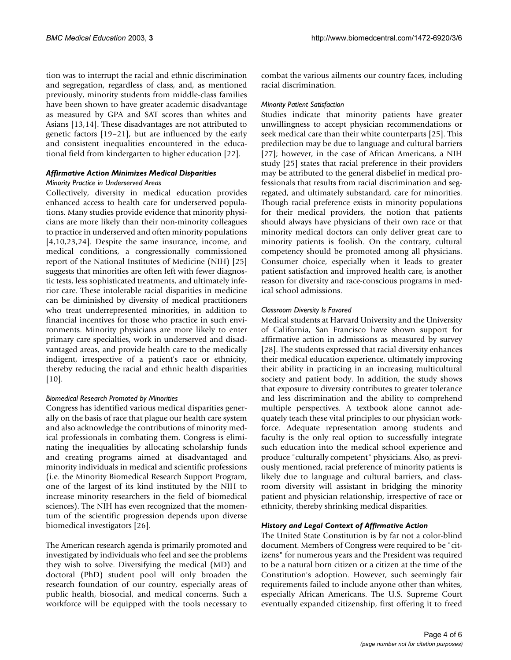tion was to interrupt the racial and ethnic discrimination and segregation, regardless of class, and, as mentioned previously, minority students from middle-class families have been shown to have greater academic disadvantage as measured by GPA and SAT scores than whites and Asians [13,14]. These disadvantages are not attributed to genetic factors [19–21], but are influenced by the early and consistent inequalities encountered in the educational field from kindergarten to higher education [22].

## *Affirmative Action Minimizes Medical Disparities*

## *Minority Practice in Underserved Areas*

Collectively, diversity in medical education provides enhanced access to health care for underserved populations. Many studies provide evidence that minority physicians are more likely than their non-minority colleagues to practice in underserved and often minority populations [4,10,23,24]. Despite the same insurance, income, and medical conditions, a congressionally commissioned report of the National Institutes of Medicine (NIH) [25] suggests that minorities are often left with fewer diagnostic tests, less sophisticated treatments, and ultimately inferior care. These intolerable racial disparities in medicine can be diminished by diversity of medical practitioners who treat underrepresented minorities, in addition to financial incentives for those who practice in such environments. Minority physicians are more likely to enter primary care specialties, work in underserved and disadvantaged areas, and provide health care to the medically indigent, irrespective of a patient's race or ethnicity, thereby reducing the racial and ethnic health disparities [10].

# *Biomedical Research Promoted by Minorities*

Congress has identified various medical disparities generally on the basis of race that plague our health care system and also acknowledge the contributions of minority medical professionals in combating them. Congress is eliminating the inequalities by allocating scholarship funds and creating programs aimed at disadvantaged and minority individuals in medical and scientific professions (i.e. the Minority Biomedical Research Support Program, one of the largest of its kind instituted by the NIH to increase minority researchers in the field of biomedical sciences). The NIH has even recognized that the momentum of the scientific progression depends upon diverse biomedical investigators [26].

The American research agenda is primarily promoted and investigated by individuals who feel and see the problems they wish to solve. Diversifying the medical (MD) and doctoral (PhD) student pool will only broaden the research foundation of our country, especially areas of public health, biosocial, and medical concerns. Such a workforce will be equipped with the tools necessary to

combat the various ailments our country faces, including racial discrimination.

# *Minority Patient Satisfaction*

Studies indicate that minority patients have greater unwillingness to accept physician recommendations or seek medical care than their white counterparts [25]. This predilection may be due to language and cultural barriers [27]; however, in the case of African Americans, a NIH study [25] states that racial preference in their providers may be attributed to the general disbelief in medical professionals that results from racial discrimination and segregated, and ultimately substandard, care for minorities. Though racial preference exists in minority populations for their medical providers, the notion that patients should always have physicians of their own race or that minority medical doctors can only deliver great care to minority patients is foolish. On the contrary, cultural competency should be promoted among all physicians. Consumer choice, especially when it leads to greater patient satisfaction and improved health care, is another reason for diversity and race-conscious programs in medical school admissions.

# *Classroom Diversity Is Favored*

Medical students at Harvard University and the University of California, San Francisco have shown support for affirmative action in admissions as measured by survey [28]. The students expressed that racial diversity enhances their medical education experience, ultimately improving their ability in practicing in an increasing multicultural society and patient body. In addition, the study shows that exposure to diversity contributes to greater tolerance and less discrimination and the ability to comprehend multiple perspectives. A textbook alone cannot adequately teach these vital principles to our physician workforce. Adequate representation among students and faculty is the only real option to successfully integrate such education into the medical school experience and produce "culturally competent" physicians. Also, as previously mentioned, racial preference of minority patients is likely due to language and cultural barriers, and classroom diversity will assistant in bridging the minority patient and physician relationship, irrespective of race or ethnicity, thereby shrinking medical disparities.

# *History and Legal Context of Affirmative Action*

The United State Constitution is by far not a color-blind document. Members of Congress were required to be "citizens" for numerous years and the President was required to be a natural born citizen or a citizen at the time of the Constitution's adoption. However, such seemingly fair requirements failed to include anyone other than whites, especially African Americans. The U.S. Supreme Court eventually expanded citizenship, first offering it to freed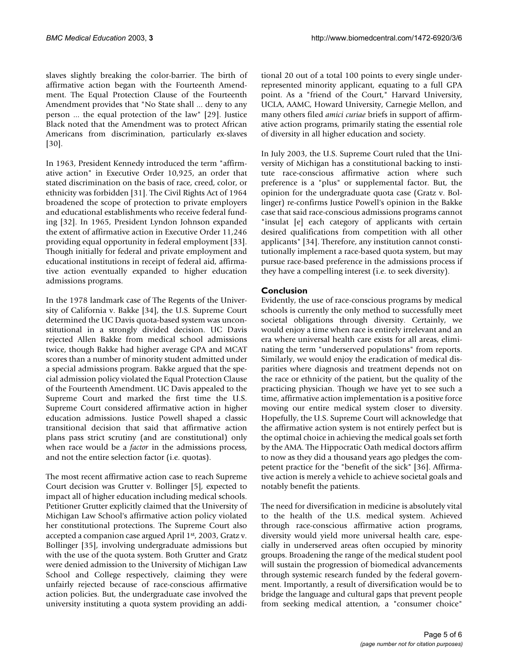slaves slightly breaking the color-barrier. The birth of affirmative action began with the Fourteenth Amendment. The Equal Protection Clause of the Fourteenth Amendment provides that "No State shall ... deny to any person ... the equal protection of the law" [29]. Justice Black noted that the Amendment was to protect African Americans from discrimination, particularly ex-slaves [30].

In 1963, President Kennedy introduced the term "affirmative action" in Executive Order 10,925, an order that stated discrimination on the basis of race, creed, color, or ethnicity was forbidden [31]. The Civil Rights Act of 1964 broadened the scope of protection to private employers and educational establishments who receive federal funding [32]. In 1965, President Lyndon Johnson expanded the extent of affirmative action in Executive Order 11,246 providing equal opportunity in federal employment [33]. Though initially for federal and private employment and educational institutions in receipt of federal aid, affirmative action eventually expanded to higher education admissions programs.

In the 1978 landmark case of The Regents of the University of California v. Bakke [34], the U.S. Supreme Court determined the UC Davis quota-based system was unconstitutional in a strongly divided decision. UC Davis rejected Allen Bakke from medical school admissions twice, though Bakke had higher average GPA and MCAT scores than a number of minority student admitted under a special admissions program. Bakke argued that the special admission policy violated the Equal Protection Clause of the Fourteenth Amendment. UC Davis appealed to the Supreme Court and marked the first time the U.S. Supreme Court considered affirmative action in higher education admissions. Justice Powell shaped a classic transitional decision that said that affirmative action plans pass strict scrutiny (and are constitutional) only when race would be a *factor* in the admissions process, and not the entire selection factor (i.e. quotas).

The most recent affirmative action case to reach Supreme Court decision was Grutter v. Bollinger [5], expected to impact all of higher education including medical schools. Petitioner Grutter explicitly claimed that the University of Michigan Law School's affirmative action policy violated her constitutional protections. The Supreme Court also accepted a companion case argued April 1st, 2003, Gratz v. Bollinger [35], involving undergraduate admissions but with the use of the quota system. Both Grutter and Gratz were denied admission to the University of Michigan Law School and College respectively, claiming they were unfairly rejected because of race-conscious affirmative action policies. But, the undergraduate case involved the university instituting a quota system providing an additional 20 out of a total 100 points to every single underrepresented minority applicant, equating to a full GPA point. As a "friend of the Court," Harvard University, UCLA, AAMC, Howard University, Carnegie Mellon, and many others filed *amici curiae* briefs in support of affirmative action programs, primarily stating the essential role of diversity in all higher education and society.

In July 2003, the U.S. Supreme Court ruled that the University of Michigan has a constitutional backing to institute race-conscious affirmative action where such preference is a "plus" or supplemental factor. But, the opinion for the undergraduate quota case (Gratz v. Bollinger) re-confirms Justice Powell's opinion in the Bakke case that said race-conscious admissions programs cannot "insulat [e] each category of applicants with certain desired qualifications from competition with all other applicants" [34]. Therefore, any institution cannot constitutionally implement a race-based quota system, but may pursue race-based preference in the admissions process if they have a compelling interest (i.e. to seek diversity).

# **Conclusion**

Evidently, the use of race-conscious programs by medical schools is currently the only method to successfully meet societal obligations through diversity. Certainly, we would enjoy a time when race is entirely irrelevant and an era where universal health care exists for all areas, eliminating the term "underserved populations" from reports. Similarly, we would enjoy the eradication of medical disparities where diagnosis and treatment depends not on the race or ethnicity of the patient, but the quality of the practicing physician. Though we have yet to see such a time, affirmative action implementation is a positive force moving our entire medical system closer to diversity. Hopefully, the U.S. Supreme Court will acknowledge that the affirmative action system is not entirely perfect but is the optimal choice in achieving the medical goals set forth by the AMA. The Hippocratic Oath medical doctors affirm to now as they did a thousand years ago pledges the competent practice for the "benefit of the sick" [36]. Affirmative action is merely a vehicle to achieve societal goals and notably benefit the patients.

The need for diversification in medicine is absolutely vital to the health of the U.S. medical system. Achieved through race-conscious affirmative action programs, diversity would yield more universal health care, especially in underserved areas often occupied by minority groups. Broadening the range of the medical student pool will sustain the progression of biomedical advancements through systemic research funded by the federal government. Importantly, a result of diversification would be to bridge the language and cultural gaps that prevent people from seeking medical attention, a "consumer choice"